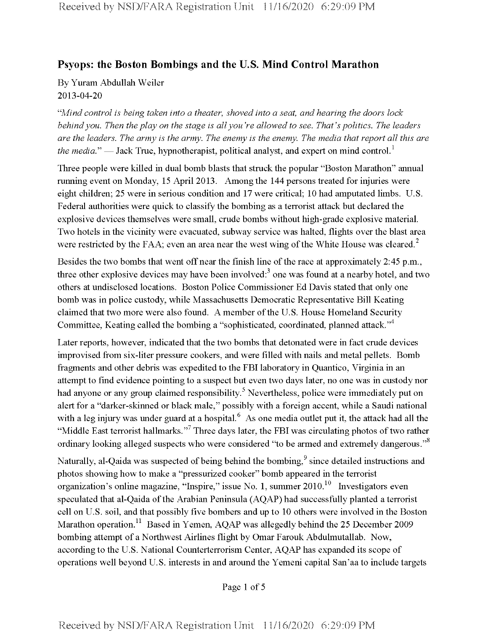## **Psyops: the Boston Bombings and the U.S. Mind Control Marathon**

By Yuram Abdullah Weiler 2013-04-20

*"Mind control is being taken into a theater, shoved into a seat, and hearing the doors lock behindyou. Then the play on the stage is all you 're allowed to see. That's politics. The leaders* are the leaders. The army is the army. The enemy is the enemy. The media that report all this are *the media.*" — Jack True, hypnotherapist, political analyst, and expert on mind control.<sup>1</sup>

Three people were killed in dual bomb blasts that struck the popular "Boston Marathon" annual running event on Monday, 15 April 2013. Among the 144 persons treated for injuries were eight children; 25 were in serious condition and 17 were critical; 10 had amputated limbs. U.S. Federal authorities were quick to classify the bombing as a terrorist attack but declared the explosive devices themselves were small, crude bombs without high-grade explosive material. Two hotels in the vicinity were evacuated, subway service was halted, flights over the blast area were restricted by the FAA; even an area near the west wing of the White House was cleared. $^2$ 

Besides the two bombs that went off near the finish line of the race at approximately 2:45 p.m., three other explosive devices may have been involved: $3$  one was found at a nearby hotel, and two others at undisclosed locations. Boston Police Commissioner Ed Davis stated that only one bomb was in police custody, while Massachusetts Democratic Representative Bill Keating claimed that two more were also found. A member of the U.S. House Homeland Security Committee, Keating called the bombing a "sophisticated, coordinated, planned attack."<sup>4</sup>

Later reports, however, indicated that the two bombs that detonated were in fact crude devices improvised from six-liter pressure cookers, and were filled with nails and metal pellets. Bomb fragments and other debris was expedited to the FBI laboratory in Quantico, Virginia in an attempt to find evidence pointing to a suspect but even two days later, no one was in custody nor had anyone or any group claimed responsibility.<sup>5</sup> Nevertheless, police were immediately put on alert for a "darker-skinned or black male," possibly with a foreign accent, while a Saudi national with a leg injury was under guard at a hospital.<sup>6</sup> As one media outlet put it, the attack had all the "Middle East terrorist hallmarks."<sup>7</sup> Three days later, the FBI was circulating photos of two rather ordinary looking alleged suspects who were considered "to be armed and extremely dangerous."<sup>8</sup>

Naturally, al-Qaida was suspected of being behind the bombing,<sup>9</sup> since detailed instructions and photos showing how to make a "pressurized cooker" bomb appeared in the terrorist organization's online magazine, "Inspire," issue No. 1, summer  $2010<sup>10</sup>$  Investigators even speculated that al-Qaida of the Arabian Peninsula (AQAP) had successfully planted a terrorist cell on U.S. soil, and that possibly five bombers and up to 10 others were involved in the Boston Marathon operation.<sup>11</sup> Based in Yemen, AQAP was allegedly behind the 25 December 2009 bombing attempt of a Northwest Airlines flight by Omar Farouk Abdulmutallab. Now, according to the U.S. National Counterterrorism Center, AQAP has expanded its scope of operations well beyond U.S. interests in and around the Yemeni capital San'aato include targets

Page <sup>1</sup> of 5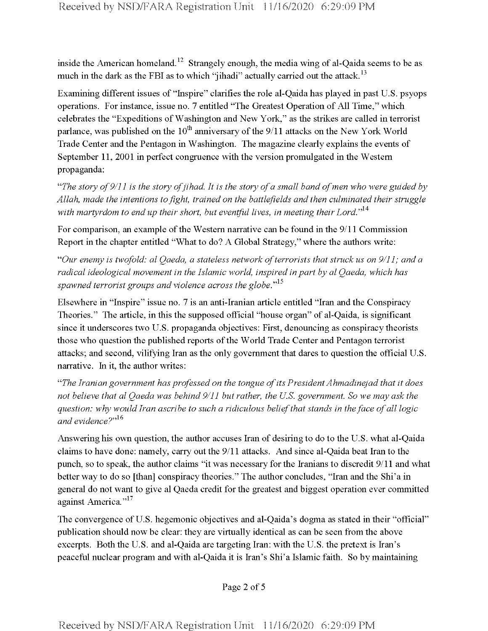inside the American homeland.<sup>12</sup> Strangely enough, the media wing of al-Qaida seems to be as much in the dark as the FBI as to which "jihadi" actually carried out the attack.<sup>13</sup>

Examining different issues of "Inspire" clarifies the role al-Qaida has played in past U.S. psyops operations. For instance, issue no. 7 entitled "The Greatest Operation of All Time," which celebrates the "Expeditions of Washington and New York," as the strikes are called in terrorist parlance, was published on the  $10<sup>th</sup>$  anniversary of the  $9/11$  attacks on the New York World Trade Center and the Pentagon in Washington. The magazine clearly explains the events of September 11, 2001 in perfect congruence with the version promulgated in the Western propaganda:

"The story of  $9/11$  is the story of jihad. It is the story of a small band of men who were guided by *Allah, made the intentions tofight, trained on the battlefields and then culminated their struggle with martyrdom to end up their short, but eventful lives, in meeting theirLord."14*

For comparison, an example of the Western narrative can be found in the 9/11 Commission Report in the chapter entitled "What to do? A Global Strategy," where the authors write:

*"Our enemy is twofold: al Qaeda, a stateless network ofterrorists that struck us on 9/11; and a radical ideological movement in the Islamic world, inspired in part by al Qaeda, which has spawned terrorist groups and violence across the globe."15*

Elsewhere in "Inspire" issue no. 7 is an anti-Iranian article entitled "Iran and the Conspiracy Theories." The article, in this the supposed official "house organ" of al-Qaida, is significant since it underscores two U.S. propaganda objectives: First, denouncing as conspiracy theorists those who question the published reports ofthe World Trade Center and Pentagon terrorist attacks; and second, vilifying Iran as the only government that dares to question the official U.S. narrative. In it, the author writes:

*"The Iranian government has professed on the tongue ofits PresidentAhmadinejad that it does not believe that al Qaeda was behind 9/11 but rather, the U.S. government. So we may ask the question: why would Iran ascribe to such a ridiculous beliefthat stands in theface ofall logic* and evidence?"<sup>16</sup>

Answering his own question, the author accuses Iran of desiring to do to the U.S. what al-Qaida claims to have done: namely, carry out the 9/11 attacks. And since al-Qaida beat Iran to the punch, so to speak, the author claims "it was necessary forthe Iranians to discredit 9/11 and what better way to do so [than] conspiracy theories." The author concludes, "Iran and the Shi'a in general do not want to give al Qaeda credit for the greatest and biggest operation ever committed against America."<sup>17</sup>

The convergence of U.S. hegemonic objectives and al-Qaida's dogma as stated in their "official" publication should now be clear: they are virtually identical as can be seen from the above excerpts. Both the U.S. and al-Qaida are targeting Iran: with the U.S. the pretext is Iran's peaceful nuclear program and with al-Qaida it is Iran's Shi'a Islamic faith. So by maintaining

Page 2 of 5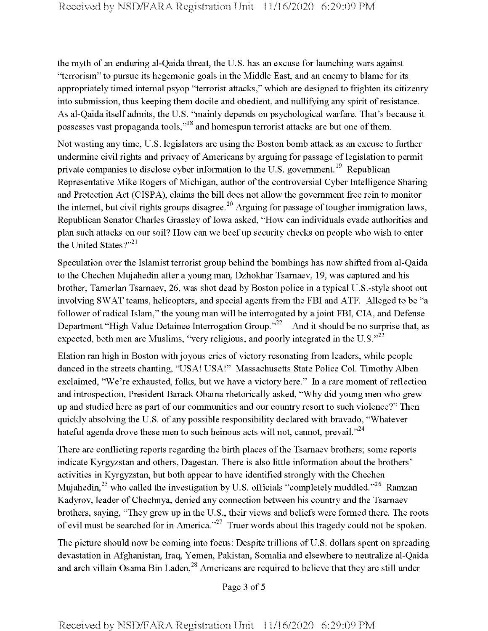the myth of an enduring al-Qaida threat, the U.S. has an excuse for launching wars against "terrorism" to pursue its hegemonic goals in the Middle East, and an enemy to blame for its appropriately timed internal psyop "terrorist attacks," which are designed to frighten its citizenry into submission, thus keeping them docile and obedient, and nullifying any spirit of resistance. As al-Qaida itself admits, the U.S. "mainly depends on psychological warfare. That's because it possesses vast propaganda tools,"<sup>18</sup> and homespun terrorist attacks are but one of them.

Not wasting any time, U.S. legislators are using the Boston bomb attack as an excuse to further undermine civil rights and privacy of Americans by arguing for passage of legislation to permit private companies to disclose cyber information to the U.S. government.<sup>19</sup> Republican Representative Mike Rogers of Michigan, author of the controversial Cyber Intelligence Sharing and Protection Act (CISPA), claims the bill does not allow the government free rein to monitor the internet, but civil rights groups disagree.<sup>20</sup> Arguing for passage of tougher immigration laws, Republican Senator Charles Grassley of Iowa asked, "How can individuals evade authorities and plan such attacks on our soil? How can we beefup security checks on people who wish to enter the United States?"<sup>21</sup>

Speculation over the Islamist terrorist group behind the bombings has now shifted from al-Qaida to the Chechen Mujahedin after a young man, Dzhokhar Tsamaev, 19, was captured and his brother, Tamerlan Tsamaev, 26, was shot dead by Boston police in atypical U.S.-style shoot out involving SWAT teams, helicopters, and special agents from the FBI and ATF. Alleged to be "a follower of radical Islam," the young man will be interrogated by a joint FBI, CIA, and Defense Department "High Value Detainee Interrogation Group."<sup>22</sup> And it should be no surprise that, as expected, both men are Muslims, "very religious, and poorly integrated in the U.S."<sup>23</sup>

Elation ran high in Boston with joyous cries of victory resonating from leaders, while people danced in the streets chanting, "USA! USA!" Massachusetts State Police Col. Timothy Alben exclaimed, "We're exhausted, folks, but we have a victory here." In a rare moment of reflection and introspection, President Barack Obama rhetorically asked, "Why did young men who grew up and studied here as part of our communities and our country resort to such violence?" Then quickly absolving the U.S. of any possible responsibility declared with bravado, "Whatever hateful agenda drove these men to such heinous acts will not, cannot, prevail."<sup>24</sup>

There are conflicting reports regarding the birth places of the Tsarnaev brothers; some reports indicate Kyrgyzstan and others, Dagestan. There is also little information about the brothers' activities in Kyrgyzstan, but both appear to have identified strongly with the Chechen Mujahedin,<sup>25</sup> who called the investigation by U.S. officials "completely muddled."<sup>26</sup> Ramzan Kadyrov, leader of Chechnya, denied any connection between his country and the Tsarnaev brothers, saying, "They grew up in the U.S., their views and beliefs were formed there. The roots of evil must be searched for in America."<sup>27</sup> Truer words about this tragedy could not be spoken.

The picture should now be coming into focus: Despite trillions of U.S. dollars spent on spreading devastation in Afghanistan, Iraq, Yemen, Pakistan, Somalia and elsewhere to neutralize al-Qaida and arch villain Osama Bin Laden,<sup>28</sup> Americans are required to believe that they are still under

Page 3 of 5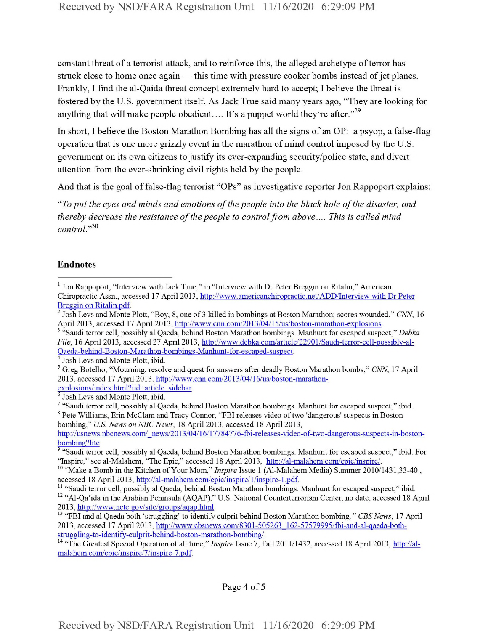constant threat of a terrorist attack, and to reinforce this, the alleged archetype ofterror has struck close to home once again — this time with pressure cooker bombs instead of jet planes. Frankly, I find the al-Qaida threat concept extremely hard to accept; I believe the threat is fostered by the U.S. government itself. As Jack True said many years ago, "They are looking for anything that will make people obedient.... It's a puppet world they're after."<sup>29</sup>

In short, I believe the Boston Marathon Bombing has all the signs of an OP: a psyop, a false-flag operation that is one more grizzly event in the marathon of mind control imposed by the U.S. government on its own citizens to justify its ever-expanding security/police state, and divert attention from the ever-shrinking civil rights held by the people.

And that is the goal of false-flag terrorist "OPs" as investigative reporter Jon Rappoport explains:

"To put the eyes and minds and emotions of the people into the black hole of the disaster, and *thereby decrease the resistance of the people to control from above.... This is called mind* control."30

## Endnotes

<sup>10</sup> "Make a Bomb in the Kitchen of Your Mom," *Inspire* Issue 1 (Al-Malahem Media) Summer 2010/1431,33-40, accessed 18 April 2013, http://al-malahem.eom/epic/inspire/l/inspire-l.pdf.

Page 4 of <sup>5</sup>

<sup>&</sup>lt;sup>1</sup> Jon Rappoport, "Interview with Jack True," in "Interview with Dr Peter Breggin on Ritalin," American Chiropractic Assn., accessed 17 April 2013, http://www.americanchiropractic.net/ADD/Interview with Dr Peter Breggin on Ritalin.pdf.

<sup>&</sup>lt;sup>2</sup> Josh Levs and Monte Plott, "Boy, 8, one of 3 killed in bombings at Boston Marathon; scores wounded," *CNN*, 16 April 2013, accessed 17 April 2013, http://www.cnn.com/2013/04/15/us/boston-marathon-explosions.

<sup>&</sup>lt;sup>3</sup> "Saudi terror cell, possibly al Qaeda, behind Boston Marathon bombings. Manhunt for escaped suspect," Debka *File,* 16 April 2013, accessed 27 April 2013, http://www.debka.com/article/22901/Saudi-terror-cell-possiblv-al-Oaeda-behind-Boston-Marathon-bombings-Manhunt-for-escaped-suspect.

<sup>&</sup>lt;sup>4</sup> Josh Levs and Monte Plott, ibid.

<sup>5</sup> Greg Botelho, "Mourning, resolve and quest for answers after deadly Boston Marathon bombs," *CNN,* 17 April 2013, accessed 17 April 2013, http://www.cnn.com/2013/04/16/us/boston-marathonexplosions/index.html?iid=article\_sidebar.

Josh Levs and Monte Plott, ibid.

<sup>7</sup> "Saudi terror cell, possibly al Qaeda, behind Boston Marathon bombings. Manhunt for escaped suspect," ibid. <sup>8</sup> Pete Williams, Erin McClam and Tracy Connor, "FBI releases video of two 'dangerous' suspects in Boston bombing," *U.S. News on NBCNews,* 18 April 2013, accessed 18 April 2013,

http://usnews.nbcnews.com/ news/2013/04/16/17784776-fbi-releases-video-of-two-dangerous-suspects-in-bostonbombing?lite.

<sup>&</sup>lt;sup>9</sup> "Saudi terror cell, possibly al Qaeda, behind Boston Marathon bombings. Manhunt for escaped suspect," ibid. For "Inspire," see al-Malahem, "The Epic," accessed 18 April 2013, http://al-malahem.com/epic/inspire/.

<sup>&</sup>lt;sup>11</sup> "Saudi terror cell, possibly al Qaeda, behind Boston Marathon bombings. Manhunt for escaped suspect," ibid. <sup>12</sup> "Al-Qa'ida in the Arabian Peninsula (AQAP)," U.S. National Counterterrorism Center, no date, accessed 18 April 2013, http://www.nctc.gov/site/groups/aqap.html.

<sup>&</sup>lt;sup>13</sup> "FBI and al Qaeda both 'struggling' to identify culprit behind Boston Marathon bombing, " *CBS News*, 17 April 2013, accessed 17 April 2013, http://www.cbsnews.com/8301-505263\_162-57579995/fbi-and-al-qaeda-bothstruggling-to-identify-culprit-behind-boston-marathon-bombing/

<sup>&</sup>lt;sup>4</sup> "The Greatest Special Operation of all time," *Inspire* Issue 7, Fall 2011/1432, accessed 18 April 2013, http://almalahem.com/epic/inspire/7/inspire-7.pdf.